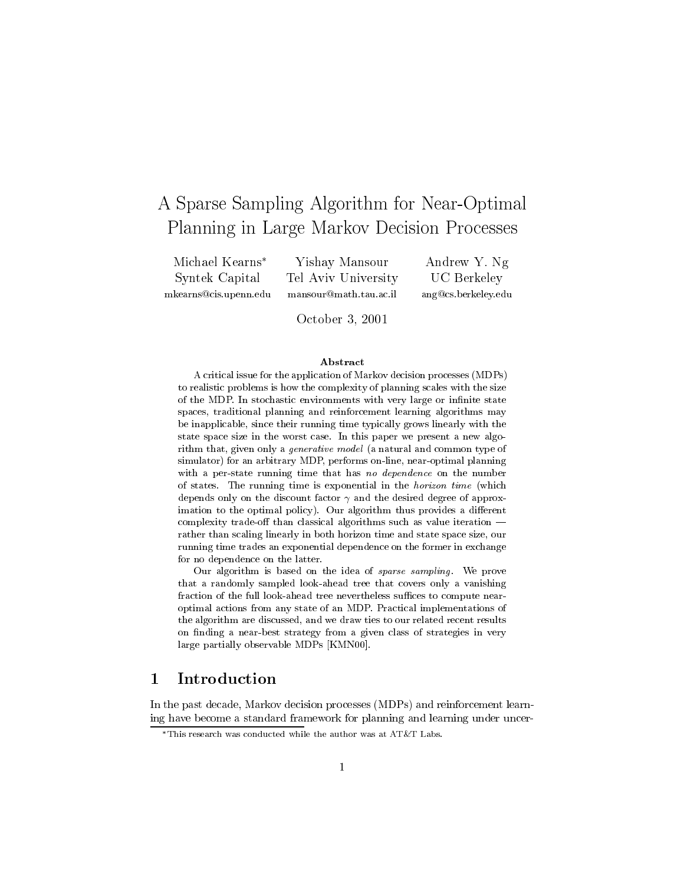# A Sparse Sampling Algorithm for Near-Optimal Planning in Large Markov Decision Processes

Michael Kearns Syntek Capital mkearns@cis.upenn.edu

Yishay Mansour Tel Aviv University mansour@math.tau.ac.il

Andrew Y. Ng UC Berkeley ang@cs.berkeley.edu

October 3, 2001

#### Abstract

A critical issue for the application of Markov decision processes (MDPs) to realistic problems is how the complexity of planning scales with the size of the MDP. In stochastic environments with very large or infinite state spaces, traditional planning and reinforcement learning algorithms may be inapplicable, since their running time typically grows linearly with the state space size in the worst case. In this paper we present a new algorithm that, given only a generative model (a natural and common type of simulator) for an arbitrary MDP, performs on-line, near-optimal planning with a per-state running time that has no dependence on the number of states. The running time is exponential in the horizon time (which depends only on the discount factor  $\gamma$  and the desired degree of approximation to the optimal policy). Our algorithm thus provides a different complexity trade-off than classical algorithms such as value iteration  $$ rather than scaling linearly in both horizon time and state space size, our running time trades an exponential dependence on the former in exchange for no dependence on the latter.

Our algorithm is based on the idea of *sparse sampling*. We prove that a randomly sampled look-ahead tree that covers only a vanishing fraction of the full look-ahead tree nevertheless suffices to compute nearoptimal actions from any state of an MDP. Practical implementations of the algorithm are discussed, and we draw ties to our related recent results on finding a near-best strategy from a given class of strategies in very large partially observable MDPs [KMN00].

#### 1 Introduction  $\mathbf 1$

In the past decade, Markov decision processes (MDPs) and reinforcement learning have become a standard framework for planning and learning under uncer-

This research was conducted while the author was at AT&T Labs.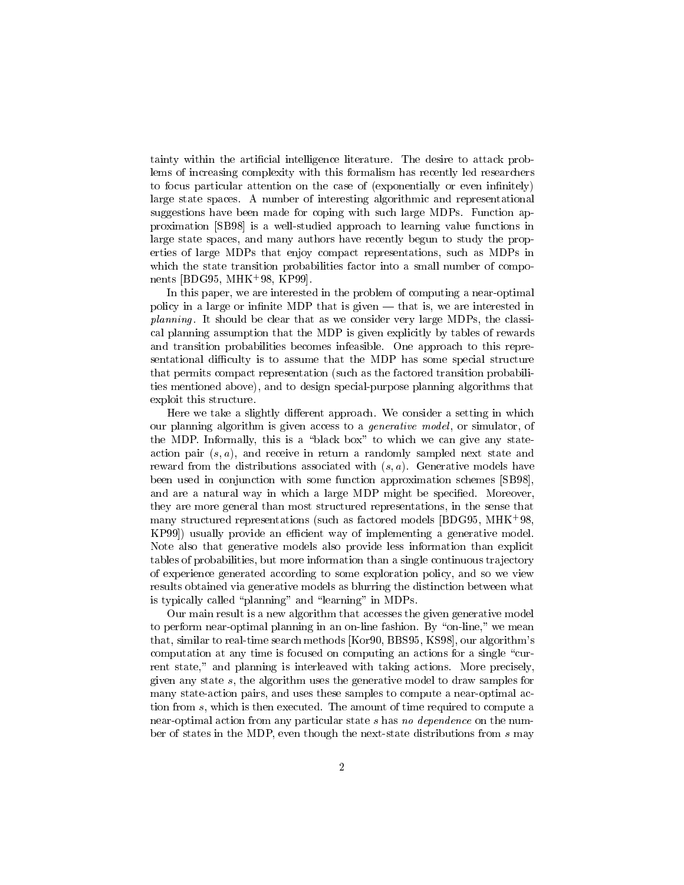tainty within the articial intelligence literature. The desire to attack problems of increasing complexity with this formalism has recently led researchers to focus particular attention on the case of (exponentially or even infinitely) large state spaces. A number of interesting algorithmic and representational suggestions have been made for coping with such large MDPs. Function approximation [SB98] is a well-studied approach to learning value functions in large state spaces, and many authors have recently begun to study the properties of large MDPs that enjoy compact representations, such as MDPs in which the state transition probabilities factor into a small number of components [BDG95, MHK+ 98, KP99].

In this paper, we are interested in the problem of computing a near-optimal policy in a large or infinite MDP that is given  $-$  that is, we are interested in planning. It should be clear that as we consider very large MDPs, the classical planning assumption that the MDP is given explicitly by tables of rewards and transition probabilities becomes infeasible. One approach to this representational difficulty is to assume that the MDP has some special structure that permits compact representation (such as the factored transition probabilities mentioned above), and to design special-purpose planning algorithms that exploit this structure.

Here we take a slightly different approach. We consider a setting in which our planning algorithm is given access to a *generative model*, or simulator, of the MDP. Informally, this is a "black box" to which we can give any stateaction pair  $(s, a)$ , and receive in return a randomly sampled next state and reward from the distributions associated with  $(s, a)$ . Generative models have been used in conjunction with some function approximation schemes [SB98], and are a natural way in which a large MDP might be specified. Moreover, they are more general than most structured representations, in the sense that many structured representations (such as factored models [BDG95, MHK+ 98, KP99) usually provide an efficient way of implementing a generative model. Note also that generative models also provide less information than explicit tables of probabilities, but more information than a single continuous tra jectory of experience generated according to some exploration policy, and so we view results obtained via generative models as blurring the distinction between what is typically called "planning" and "learning" in MDPs.

Our main result is a new algorithm that accesses the given generative model to perform near-optimal planning in an on-line fashion. By "on-line," we mean that, similar to real-time search methods [Kor90, BBS95, KS98], our algorithm's computation at any time is focused on computing an actions for a single \current state," and planning is interleaved with taking actions. More precisely, given any state s, the algorithm uses the generative model to draw samples for many state-action pairs, and uses these samples to compute a near-optimal action from s, which is then executed. The amount of time required to compute a near-optimal action from any particular state <sup>s</sup> has no dependence on the number of states in the MDP, even though the next-state distributions from <sup>s</sup> may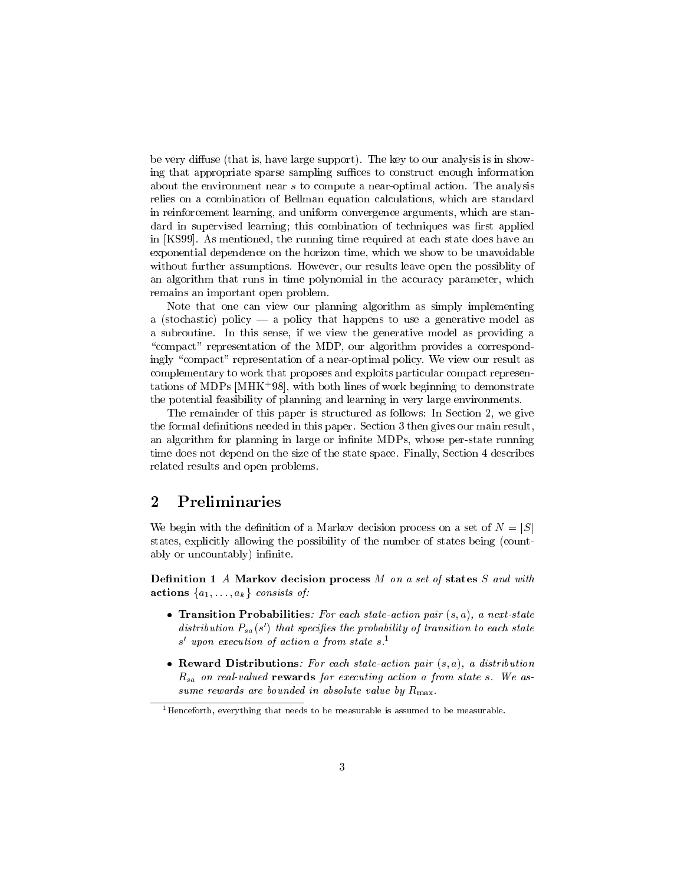be very diffuse (that is, have large support). The key to our analysis is in showing that appropriate sparse sampling suffices to construct enough information about the environment near <sup>s</sup> to compute a near-optimal action. The analysis relies on a combination of Bellman equation calculations, which are standard in reinforcement learning, and uniform convergence arguments, which are standard in supervised learning; this combination of techniques was first applied in [KS99]. As mentioned, the running time required at each state does have an exponential dependence on the horizon time, which we show to be unavoidable without further assumptions. However, our results leave open the possiblity of an algorithm that runs in time polynomial in the accuracy parameter, which remains an important open problem.

Note that one can view our planning algorithm as simply implementing a (stochastic) policy  $-$  a policy that happens to use a generative model as a subroutine. In this sense, if we view the generative model as providing a "compact" representation of the MDP, our algorithm provides a correspondingly "compact" representation of a near-optimal policy. We view our result as complementary to work that proposes and exploits particular compact representations of MDPs [MHK+ 98], with both lines of work beginning to demonstrate the potential feasibility of planning and learning in very large environments.

The remainder of this paper is structured as follows: In Section 2, we give the formal definitions needed in this paper. Section 3 then gives our main result, an algorithm for planning in large or infinite MDPs, whose per-state running time does not depend on the size of the state space. Finally, Section 4 describes related results and open problems.

### 2 Preliminaries

We begin with the definition of a Markov decision process on a set of  $N = |S|$ states, explicitly allowing the possibility of the number of states being (countably or uncountably) infinite.

Definition 1 A Markov decision process  $M$  on a set of states  $S$  and with actions fails in the fact of the constant of the constant of the constant of the constant of the constant of t

- Transition Probabilities: For each state-action pair  $(s, a)$ , a next-state  $a$  astribution  $F_{sa}(s)$  that specifies the probability of transition to each state s upon execution of action a from state s.
- Reward Distributions: For each state-action pair  $(s, a)$ , a distribution  $R_{sa}$  on real-valued rewards for executing action a from state s. We assume rewards are bounded in absolute value by  $R_{\text{max}}$ .

 $1$ Henceforth, everything that needs to be measurable is assumed to be measurable.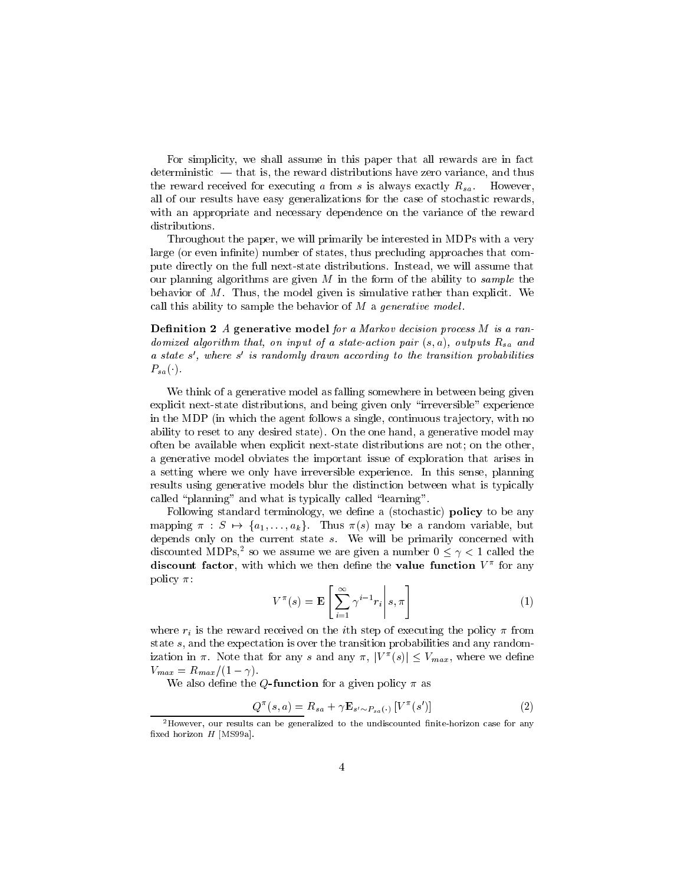For simplicity, we shall assume in this paper that all rewards are in fact  $d$  deterministic  $\frac{d}{dt}$  that is, the reward distributions have zero variance, and thus the reward received for executing a from s is always exactly  $R_{sa}$ . However, all of our results have easy generalizations for the case of stochastic rewards, with an appropriate and necessary dependence on the variance of the reward distributions.

Throughout the paper, we will primarily be interested in MDPs with a very large (or even infinite) number of states, thus precluding approaches that compute directly on the full next-state distributions. Instead, we will assume that our planning algorithms are given M in the form of the ability to *sample* the behavior of  $M$ . Thus, the model given is simulative rather than explicit. We call this ability to sample the behavior of  $M$  a generative model.

 $D$ enintion 2 A generative model for a markov decision process m is a randomized algorithm that, on input of a state-action pair  $(s, a)$ , outputs  $R_{sa}$  and a state s , where s is randomly arawn according to the transition probabilities  $P_{sa}(\cdot).$ 

We think of a generative model as falling somewhere in between being given explicit next-state distributions, and being given only "irreversible" experience in the MDP (in which the agent follows a single, continuous trajectory, with no ability to reset to any desired state). On the one hand, a generative model may often be available when explicit next-state distributions are not; on the other, a generative model obviates the important issue of exploration that arises in a setting where we only have irreversible experience. In this sense, planning results using generative models blur the distinction between what is typically called "planning" and what is typically called "learning".

Following standard terminology, we define a (stochastic) **policy** to be any mapping  $\pi : S \mapsto \{a_1,\ldots,a_k\}$ . Thus  $\pi(s)$  may be a random variable, but depends only on the current state  $s$ . We will be primarily concerned with discounted MDPs, so we assume we are given a number  $0 \leq \gamma \leq 1$  called the discount factor, with which we then define the value function  $V$  -for any policy  $\pi$ :

$$
V^{\pi}(s) = \mathbf{E}\left[\sum_{i=1}^{\infty} \gamma^{i-1} r_i \middle| s, \pi\right]
$$
 (1)

where  $r_i$  is the reward received on the *i*th step of executing the policy  $\pi$  from state s, and the expectation is over the transition probabilities and any randomization in  $\pi$ . Note that for any s and any  $\pi, \, \mid V^-(s) \mid \leq v_{max},$  where we define  $V_{max} = R_{max}/(1 - \gamma).$ 

We also define the Q-function for a given policy  $\pi$  as

$$
Q^{\pi}(s, a) = R_{sa} + \gamma \mathbf{E}_{s' \sim P_{sa}(\cdot)} \left[ V^{\pi}(s') \right]
$$
 (2)

<sup>&</sup>lt;sup>2</sup>However, our results can be generalized to the undiscounted finite-horizon case for any fixed horizon  $H$  [MS99a].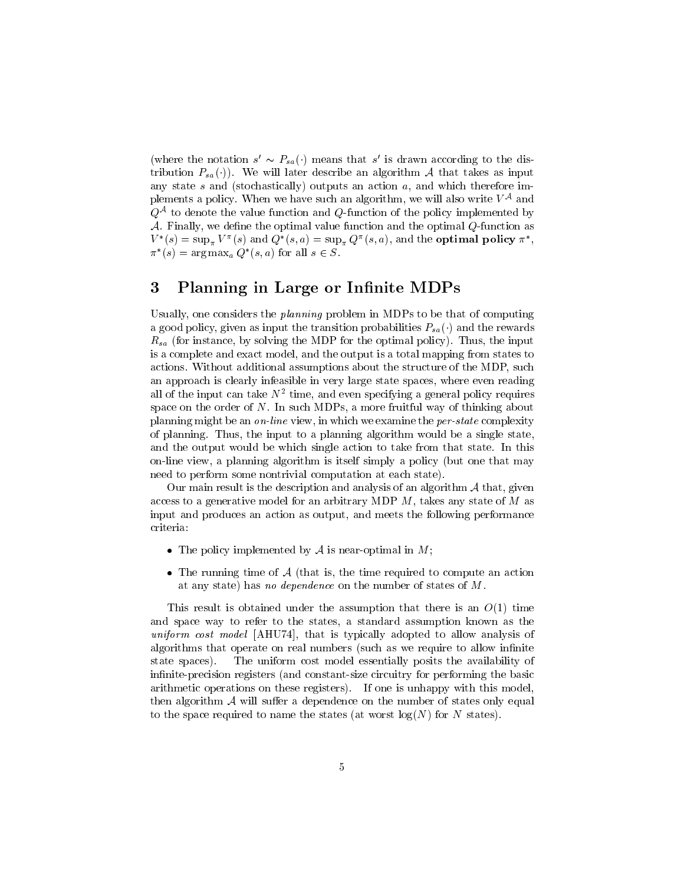(where the notation  $s \sim r_{sa}(\cdot)$  means that s is drawn according to the distribution  $P_{sa}(\cdot)$ . We will later describe an algorithm A that takes as input any state  $s$  and (stochastically) outputs an action  $a$ , and which therefore implements a policy. When we have such an algorithm, we will also write  $V^*$  and  $Q\leftrightarrow$  to denote the value function and  $Q$ -function of the policy implemented by  $A$ . Finally, we define the optimal value function and the optimal  $Q$ -function as  $V^-(s) = \sup_{\pi} V^-(s)$  and  $Q^-(s,a) = \sup_{\pi} Q^-(s,a)$ , and the **optimal policy**  $\pi$ ,  $\pi$  (s)  $=$  arg max<sub>a</sub>  $Q$  (s, a) for all  $s \in S$ .

### 3 Planning in Large or Infinite MDPs

Usually, one considers the planning problem in MDPs to be that of computing a good policy, given as input the transition probabilities  $P_{sa}(\cdot)$  and the rewards  $R_{sa}$  (for instance, by solving the MDP for the optimal policy). Thus, the input is a complete and exact model, and the output is a total mapping from states to actions. Without additional assumptions about the structure of the MDP, such an approach is clearly infeasible in very large state spaces, where even reading all of the input can take <sup>N</sup><sup>2</sup> time, and even specifying a general policy requires space on the order of  $N$ . In such MDPs, a more fruitful way of thinking about planning might be an on-line view, in which we examine the per-state complexity of planning. Thus, the input to a planning algorithm would be a single state, and the output would be which single action to take from that state. In this on-line view, a planning algorithm is itself simply a policy (but one that may need to perform some nontrivial computation at each state).

Our main result is the description and analysis of an algorithm  $A$  that, given access to a generative model for an arbitrary MDP  $M$ , takes any state of  $M$  as input and produces an action as output, and meets the following performance criteria:

- The policy implemented by  $A$  is near-optimal in  $M$ ;
- The running time of  $A$  (that is, the time required to compute an action at any state) has no dependence on the number of states of M.

This result is obtained under the assumption that there is an  $O(1)$  time and space way to refer to the states, a standard assumption known as the uniform cost model [AHU74], that is typically adopted to allow analysis of algorithms that operate on real numbers (such as we require to allow infinite state spaces). The uniform cost model essentially posits the availability of infinite-precision registers (and constant-size circuitry for performing the basic arithmetic operations on these registers). If one is unhappy with this model, then algorithm  $\mathcal A$  will suffer a dependence on the number of states only equal to the space required to name the states (at worst  $log(N)$  for N states).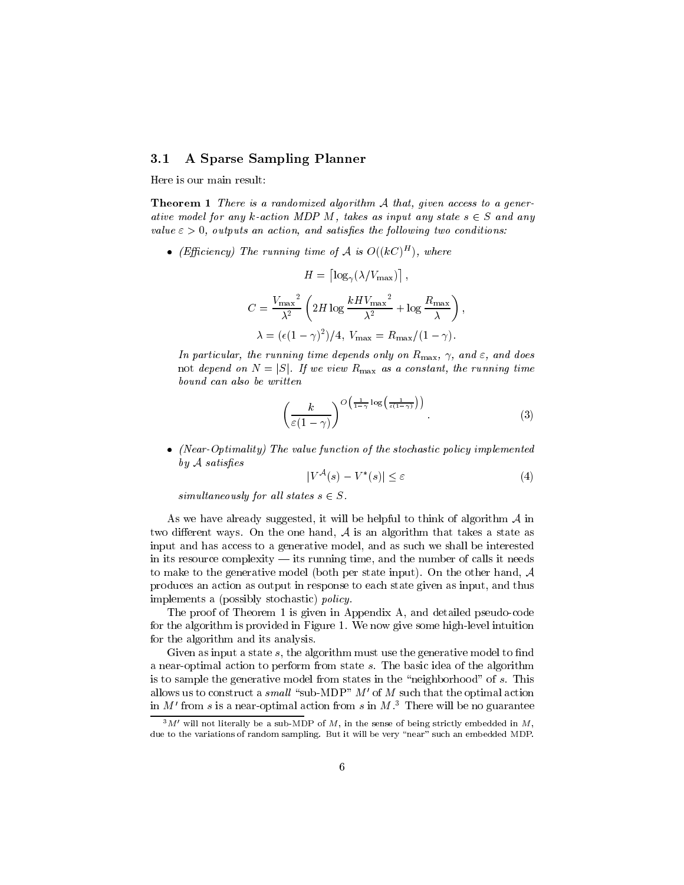#### 3.1 A Sparse Sampling Planner

Here is our main result:

Theorem 1 There is a randomized algorithm <sup>A</sup> that, given access to a generative model for any k-action MDP M, takes as input any state  $s \in S$  and any value  $\varepsilon > 0$ , outputs an action, and satisfies the following two conditions:

• (Efficiency) The running time of A is  $O((\kappa C)^{-1})$ , where

$$
H = \left[ \log_{\gamma} (\lambda / V_{\text{max}}) \right],
$$
  
\n
$$
C = \frac{V_{\text{max}}^2}{\lambda^2} \left( 2H \log \frac{kH V_{\text{max}}^2}{\lambda^2} + \log \frac{R_{\text{max}}}{\lambda} \right),
$$
  
\n
$$
\lambda = (\epsilon (1 - \gamma)^2) / 4, \ V_{\text{max}} = R_{\text{max}} / (1 - \gamma).
$$

In particular, the running time depends only on  $R_{\text{max}}$ ,  $\gamma$ , and  $\varepsilon$ , and does not depend on Fig. If we view Remark as a constant, the running time bound can also be written

$$
\left(\frac{k}{\varepsilon(1-\gamma)}\right)^{O\left(\frac{1}{1-\gamma}\log\left(\frac{1}{\varepsilon(1-\gamma)}\right)\right)}.
$$
\n(3)

• (Near-Optimality) The value function of the stochastic policy implemented  $by\mathcal{A}\ satisfies$ 

$$
|V^{\mathcal{A}}(s) - V^*(s)| \le \varepsilon \tag{4}
$$

simultaneously for all states  $s \in S$ .

As we have already suggested, it will be helpful to think of algorithm  $A$  in two different ways. On the one hand,  $A$  is an algorithm that takes a state as input and has access to a generative model, and as such we shall be interested in its resource complexity  $-$  its running time, and the number of calls it needs to make to the generative model (both per state input). On the other hand, <sup>A</sup> produces an action as output in response to each state given as input, and thus implements a (possibly stochastic) policy.

The proof of Theorem 1 is given in Appendix A, and detailed pseudo-code for the algorithm is provided in Figure 1. We now give some high-level intuition for the algorithm and its analysis.

Given as input a state  $s$ , the algorithm must use the generative model to find a near-optimal action to perform from state s. The basic idea of the algorithm is to sample the generative model from states in the "neighborhood" of  $s$ . This allows us to construct a small "sub-MDP"  $M'$  of M such that the optimal action in M' from s is a near-optimal action from s in  $M<sup>3</sup>$ . There will be no guarantee

 $3M'$  will not literally be a sub-MDP of M, in the sense of being strictly embedded in M, due to the variations of random sampling. But it will be very "near" such an embedded MDP.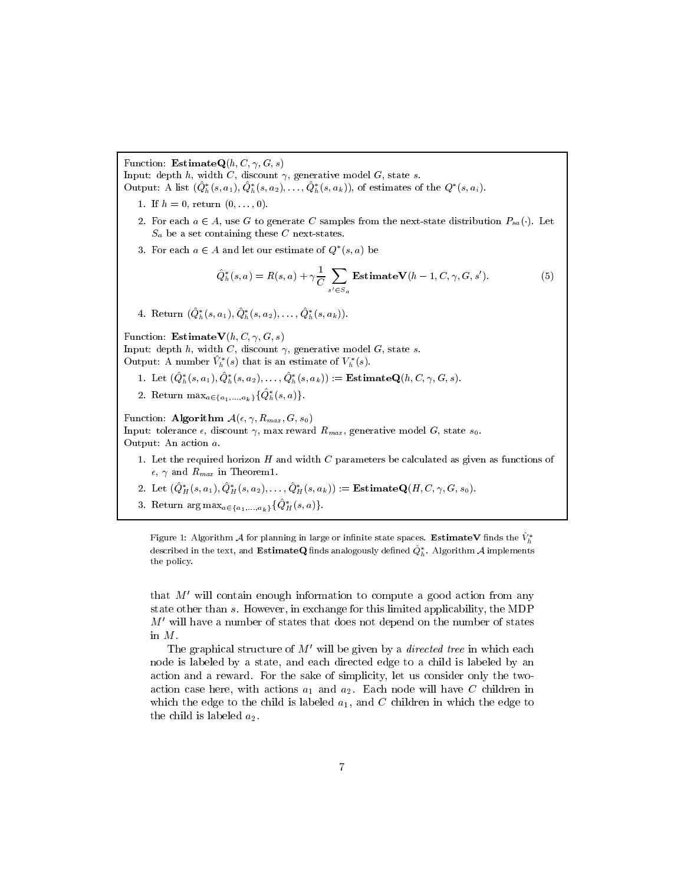Function: **EstimateQ** $(h, C, \gamma, G, s)$ 

Input: depth  $h$ , width  $C$ , discount  $\gamma$ , generative model  $G$ , state  $s$ .

Output: A list  $(Q_h^*(s, a_1), Q_h^*(s, a_2), \ldots, Q_h^*(s, a_k))$ , of estimates of the  $Q^*(s, a_i)$ .

- 1. If  $h = 0$ , return  $(0, \ldots, 0)$ .
- 2. For each  $a \in A$ , use G to generate C samples from the next-state distribution  $P_{sa}(\cdot)$ . Let  $S_a$  be a set containing these C next-states.
- 3. For each  $a \in A$  and let our estimate of  $Q^*(s, a)$  be

$$
\hat{Q}_h^*(s, a) = R(s, a) + \gamma \frac{1}{C} \sum_{s' \in S_a} \text{EstimateV}(h - 1, C, \gamma, G, s'). \tag{5}
$$

4. Return  $(\hat{Q}_h^*(s, a_1), \hat{Q}_h^*(s, a_2), \ldots, \hat{Q}_h^*(s, a_k)).$ 

Function: **EstimateV** $(h, C, \gamma, G, s)$ Input: depth  $h$ , width  $C$ , discount  $\gamma$ , generative model  $G$ , state  $s$ . Output: A number  $\hat{V}_h^*(s)$  that is an estimate of  $V_h^*(s)$ .

- 1. Let  $(\hat{Q}_h^*(s, a_1), \hat{Q}_h^*(s, a_2), \ldots, \hat{Q}_h^*(s, a_k)) :=$ **EstimateQ**(h, C,  $\gamma$ , G, s).
- 2. Return  $\max_{a \in \{a_1,...,a_k\}} {\hat{Q}^*_h(s, a)}$ .

Function: Algorithm  $A(\epsilon, \gamma, R_{max}, G, s_0)$ Input: tolerance  $\epsilon$ , discount  $\gamma$ , max reward  $R_{max}$ , generative model G, state  $s_0$ . Output: An action a.

- 1. Let the required horizon  $H$  and width  $C$  parameters be calculated as given as functions of  $\epsilon$ ,  $\gamma$  and  $R_{max}$  in Theorem1.
- 2. Let  $(\hat{Q}^*_H(s, a_1), \hat{Q}^*_H(s, a_2), \dots, \hat{Q}^*_H(s, a_k)) :=$ **EstimateQ** $(H, C, \gamma, G, s_0)$ .
- 3. Return  $\arg \max_{a \in \{a_1,...,a_k\}} \{\hat{Q}^*_H(s, a)\}.$

Figure 1: Algorithm A for planning in large or infinite state spaces. EstimateV finds the  $\hat{V}_h^*$ described in the text, and **EstimateQ** finds analogously defined  $\hat{Q}_h^*$ . Algorithm A implements the policy.

that  $M'$  will contain enough information to compute a good action from any state other than s. However, in exchange for this limited applicability, the MDP  $M'$  will have a number of states that does not depend on the number of states in M.

The graphical structure of  $M'$  will be given by a *directed tree* in which each node is labeled by a state, and each directed edge to a child is labeled by an action and a reward. For the sake of simplicity, let us consider only the twoaction case here, with actions a1 and a2. Each node will have <sup>C</sup> children in which the edge to the child is labeled  $a_1$ , and C children in which the edge to the child is labeled  $a_2$ .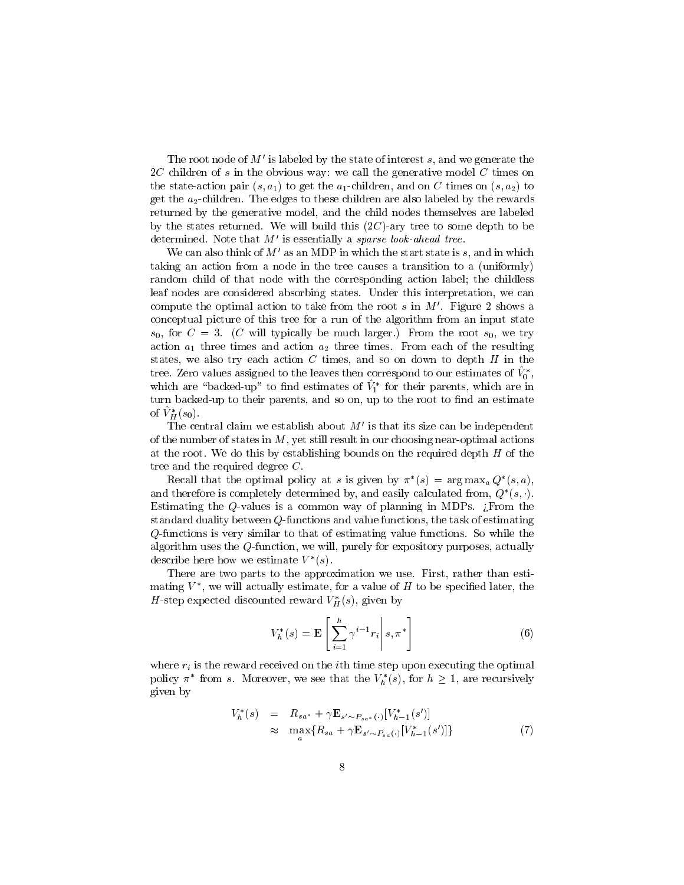The root node of  $M'$  is labeled by the state of interest s, and we generate the  $2C$  children of s in the obvious way: we call the generative model C times on the state-action pair  $(s, a_1)$  to get the  $a_1$ -children, and on C times on  $(s, a_2)$  to get the  $a_2$ -children. The edges to these children are also labeled by the rewards returned by the generative model, and the child nodes themselves are labeled by the states returned. We will build this  $(2C)$ -ary tree to some depth to be determined. Note that  $M'$  is essentially a sparse look-ahead tree.

We can also think of  $M'$  as an MDP in which the start state is s, and in which taking an action from a node in the tree causes a transition to a (uniformly) random child of that node with the corresponding action label; the childless leaf nodes are considered absorbing states. Under this interpretation, we can compute the optimal action to take from the root  $s$  in  $M'$ . Figure 2 shows a conceptual picture of this tree for a run of the algorithm from an input state  $s_0$ , for  $C = 3$ . (C will typically be much larger.) From the root  $s_0$ , we try action a1 three times and action a2 three times. From each of the resulting  $\alpha$ states, we also try each action  $C$  times, and so on down to depth  $H$  in the tree. Zero values assigned to the leaves then correspond to our estimates of  $V_0^*$ ,  $\overline{\phantom{0}}$  , which are backed-up to find estimates of  $V_1$  for their parents, which are in turn backed-up to their parents, and so on, up to the root to find an estimate of  $\hat{V}_H^*(s_0)$ .

The central claim we establish about  $M'$  is that its size can be independent of the number of states in  $M$ , yet still result in our choosing near-optimal actions at the root. We do this by establishing bounds on the required depth  $H$  of the tree and the required degree C.

Recall that the optimal policy at s is given by  $\pi$   $(s) = \arg \max_a Q$   $(s, a)$ , and therefore is completely determined by, and easily calculated from,  $Q_-(s,\cdot)$ . Estimating the Q-values is a common way of planning in MDPs.  $\chi$ From the standard duality between  $Q$ -functions and value functions, the task of estimating Q-functions is very similar to that of estimating value functions. So while the algorithm uses the Q-function, we will, purely for expository purposes, actually describe here how we estimate  $V$  (s).

There are two parts to the approximation we use. First, rather than estimating  $V$  , we will actually estimate, for a value of  $H$  to be specified later, the H-step expected discounted reward  $V_H^*(s)$ , given by

$$
V_h^*(s) = \mathbf{E}\left[\left.\sum_{i=1}^h \gamma^{i-1} r_i\right| s, \pi^*\right] \tag{6}
$$

where  $r_i$  is the reward received on the *i*th time step upon executing the optimal policy  $\pi$  from s. Moreover, we see that the  $V_h$  (s), for  $h \geq 1$ , are recursively given by

$$
V_h^*(s) = R_{sa^*} + \gamma \mathbf{E}_{s' \sim P_{sa^*}(\cdot)} [V_{h-1}^*(s')] \approx \max_{a} \{ R_{sa} + \gamma \mathbf{E}_{s' \sim P_{sa}(\cdot)} [V_{h-1}^*(s')] \}
$$
(7)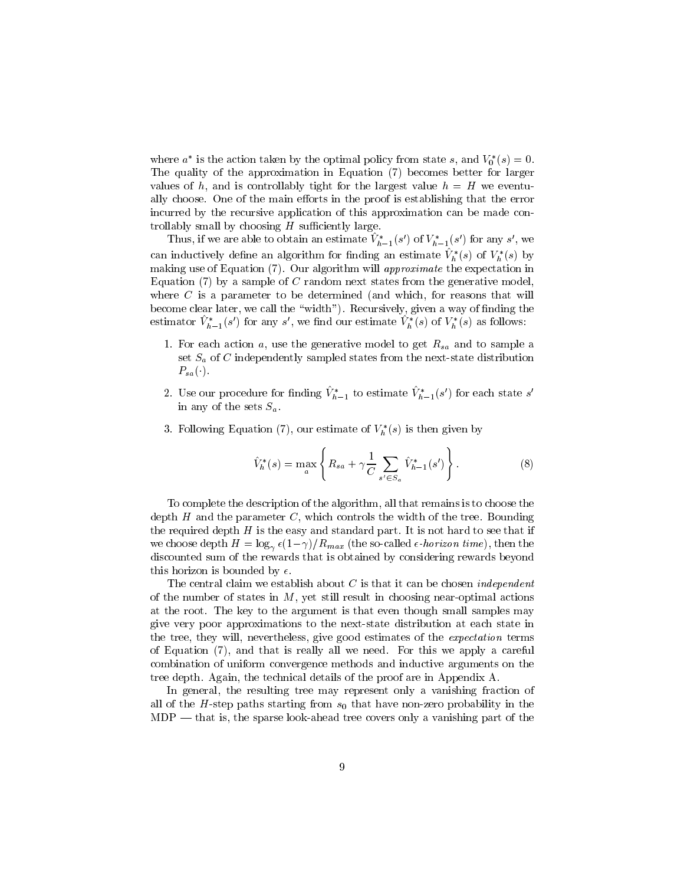where  $a$  is the action taken by the optimal policy from state s, and  $v_0$  (s)  $=$  0. The quality of the approximation in Equation (7) becomes better for larger values of h, and is controllably tight for the largest value  $h = H$  we eventually choose. One of the main efforts in the proof is establishing that the error incurred by the recursive application of this approximation can be made controllably small by choosing  $H$  sufficiently large.

I mus, if we are able to obtain an estimate  $V_{h-1}(s)$  of  $V_{h-1}(s)$  for any s, we can inductively define an algorithm for finding an estimate  $\hat{V}_h^*(s)$  of  $V_h^*(s)$  by making use of Equation (7). Our algorithm will *approximate* the expectation in Equation  $(7)$  by a sample of C random next states from the generative model, where  $C$  is a parameter to be determined (and which, for reasons that will become clear later, we call the "width"). Recursively, given a way of finding the estimator  $V_{h-1}(s)$  for any s, we find our estimate  $V_h$  (s) of  $V_h$  (s) as follows:

- 1. For each action  $a$ , use the generative model to get  $R_{sa}$  and to sample a set  $S_a$  of C independently sampled states from the next-state distribution  $P_{sa}(\cdot)$ .
- 2. Use our procedure for finaling  $V_{h-1}$  to estimate  $V_{h-1}(s)$  for each state s in any of the sets  $S_a$ .
- 3. Following Equation (7), our estimate of  $V_h^*(s)$  is then given by

$$
\hat{V}_h^*(s) = \max_a \left\{ R_{sa} + \gamma \frac{1}{C} \sum_{s' \in S_a} \hat{V}_{h-1}^*(s') \right\}.
$$
\n(8)

To complete the description of the algorithm, all that remains is to choose the depth  $H$  and the parameter  $C$ , which controls the width of the tree. Bounding the required depth  $H$  is the easy and standard part. It is not hard to see that if we choose depth  $H = \log_{\gamma} \epsilon (1-\gamma)/R_{max}$  (the so-called  $\epsilon$ -horizon time), then the discounted sum of the rewards that is obtained by considering rewards beyond this horizon is bounded by  $\epsilon$ .

The central claim we establish about  $C$  is that it can be chosen *independent* of the number of states in  $M$ , yet still result in choosing near-optimal actions at the root. The key to the argument is that even though small samples may give very poor approximations to the next-state distribution at each state in the tree, they will, nevertheless, give good estimates of the *expectation* terms of Equation (7), and that is really all we need. For this we apply a careful combination of uniform convergence methods and inductive arguments on the tree depth. Again, the technical details of the proof are in Appendix A.

In general, the resulting tree may represent only a vanishing fraction of all of the H-step paths starting from s0 that have noted probability in the starting  $MDP$  — that is, the sparse look-ahead tree covers only a vanishing part of the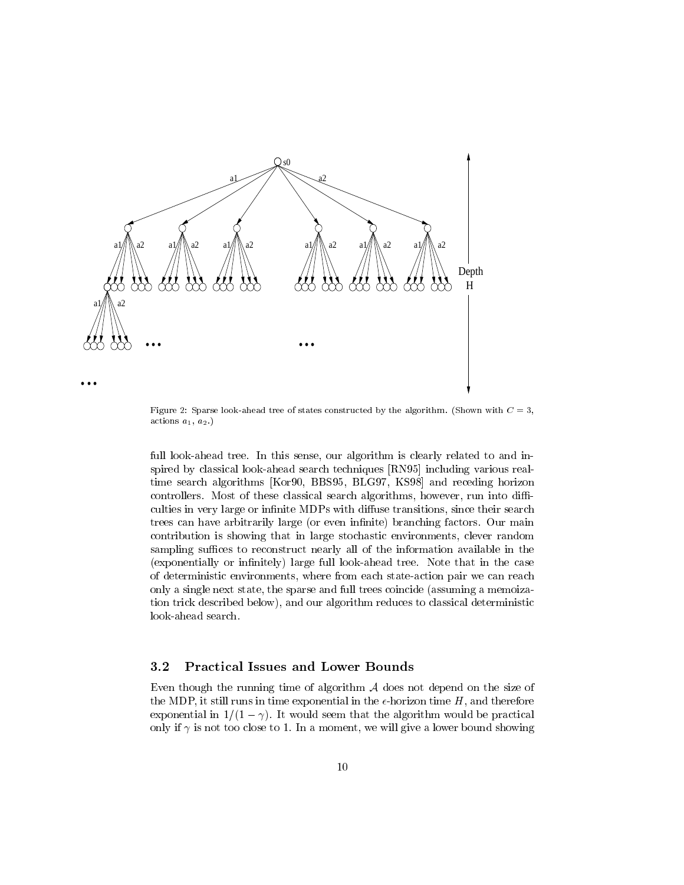

Figure 2: Sparse look-ahead tree of states constructed by the algorithm. (Shown with  $C = 3$ , actions  $a_1, a_2$ .)

full look-ahead tree. In this sense, our algorithm is clearly related to and inspired by classical look-ahead search techniques [RN95] including various realtime search algorithms [Kor90, BBS95, BLG97, KS98] and receding horizon controllers. Most of these classical search algorithms, however, run into difficulties in very large or infinite MDPs with diffuse transitions, since their search trees can have arbitrarily large (or even infinite) branching factors. Our main contribution is showing that in large stochastic environments, clever random sampling suffices to reconstruct nearly all of the information available in the (exponentially or infinitely) large full look-ahead tree. Note that in the case of deterministic environments, where from each state-action pair we can reach only a single next state, the sparse and full trees coincide (assuming a memoization trick described below), and our algorithm reduces to classical deterministic look-ahead search.

#### 3.2 Practical Issues and Lower Bounds

Even though the running time of algorithm  $A$  does not depend on the size of the MDP, it still runs in time exponential in the  $\epsilon$ -horizon time H, and therefore exponential in  $1/(1 - \gamma)$ . It would seem that the algorithm would be practical only if  $\gamma$  is not too close to 1. In a moment, we will give a lower bound showing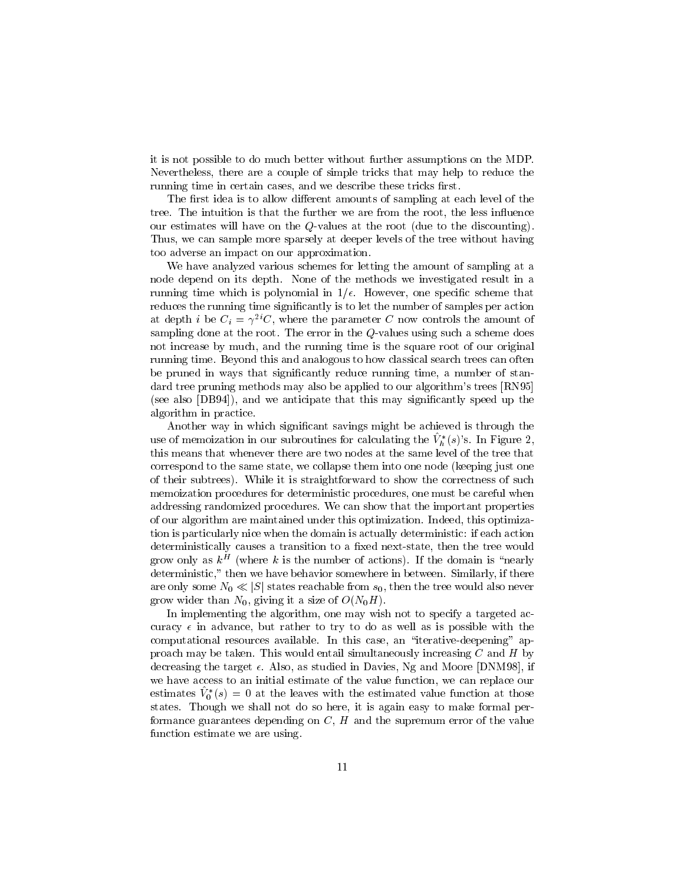it is not possible to do much better without further assumptions on the MDP. Nevertheless, there are a couple of simple tricks that may help to reduce the running time in certain cases, and we describe these tricks first.

The first idea is to allow different amounts of sampling at each level of the tree. The intuition is that the further we are from the root, the less influence our estimates will have on the Q-values at the root (due to the discounting). Thus, we can sample more sparsely at deeper levels of the tree without having too adverse an impact on our approximation.

We have analyzed various schemes for letting the amount of sampling at a node depend on its depth. None of the methods we investigated result in a running time which is polynomial in  $1/\epsilon$ . However, one specific scheme that reduces the running time significantly is to let the number of samples per action at depth *i* be  $C_i = \gamma^{2i}C$ , where the parameter C now controls the amount of sampling done at the root. The error in the Q-values using such a scheme does not increase by much, and the running time is the square root of our original running time. Beyond this and analogous to how classical search trees can often be pruned in ways that signicantly reduce running time, a number of standard tree pruning methods may also be applied to our algorithm's trees [RN95] (see also [DB94]), and we anticipate that this may signicantly speed up the algorithm in practice.

Another way in which significant savings might be achieved is through the use of memoization in our subroutines for calculating the  $\hat{V}_h^*(s)$ 's. In Figure 2, this means that whenever there are two nodes at the same level of the tree that correspond to the same state, we collapse them into one node (keeping just one of their subtrees). While it is straightforward to show the correctness of such memoization procedures for deterministic procedures, one must be careful when addressing randomized procedures. We can show that the important properties of our algorithm are maintained under this optimization. Indeed, this optimization is particularly nice when the domain is actually deterministic: if each action deterministically causes a transition to a fixed next-state, then the tree would grow only as  $\kappa^+$  (where  $\kappa$  is the number of actions). If the domain is  $\,$  nearly  $\,$ deterministic," then we have behavior somewhere in between. Similarly, if there are only some NO is just some a concerned from s0, the tree would also never would also never would grow wider than  $N_0$ , giving it a size of  $O(N_0H)$ .

In implementing the algorithm, one may wish not to specify a targeted accuracy  $\epsilon$  in advance, but rather to try to do as well as is possible with the computational resources available. In this case, an "iterative-deepening" approach may be taken. This would entail simultaneously increasing  $C$  and  $H$  by decreasing the target  $\epsilon$ . Also, as studied in Davies, Ng and Moore [DNM98], if we have access to an initial estimate of the value function, we can replace our estimates  $v_0$  (s)  $v_0$  at the leaves with the estimated value function at those states. Though we shall not do so here, it is again easy to make formal performance guarantees depending on  $C, H$  and the supremum error of the value function estimate we are using.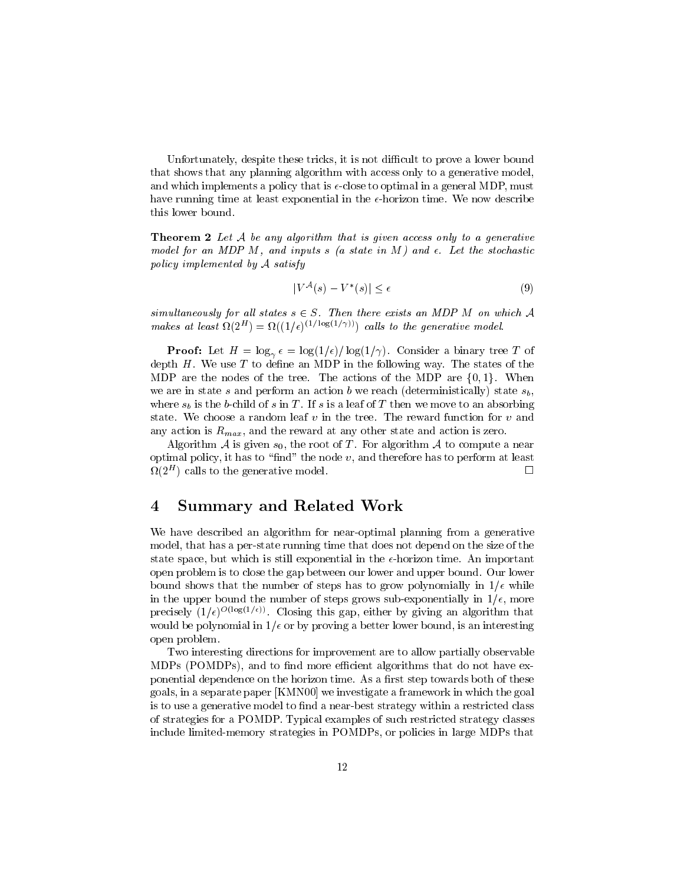Unfortunately, despite these tricks, it is not difficult to prove a lower bound that shows that any planning algorithm with access only to a generative model, and which implements a policy that is  $\epsilon$ -close to optimal in a general MDP, must have running time at least exponential in the  $\epsilon$ -horizon time. We now describe this lower bound.

Theorem 2 Let <sup>A</sup> be any algorithm that is given access only to a generative model for an MDP M, and inputs s (a state in M) and  $\epsilon$ . Let the stochastic policy implemented by <sup>A</sup> satisfy

$$
|V^{\mathcal{A}}(s) - V^*(s)| \le \epsilon \tag{9}
$$

simultaneously for all states  $s \in S$ . Then there exists an MDP M on which A makes at least  $\Omega(Z^+) = \Omega((1/\epsilon)^{1/2} \cos(1/\theta))$  calls to the generative model.

 $\mathsf{P}$  =  $\mathsf{P}$  =  $\mathsf{P}$   $\mathsf{P}$  =  $\mathsf{P}$   $\mathsf{P}$   $\mathsf{P}$   $\mathsf{P}$  =  $\mathsf{P}$  =  $\mathsf{P}$  =  $\mathsf{P}$  =  $\mathsf{P}$  =  $\mathsf{P}$  =  $\mathsf{P}$  =  $\mathsf{P}$  =  $\mathsf{P}$  =  $\mathsf{P}$  =  $\mathsf{P}$  =  $\mathsf{P}$  =  $\mathsf{P}$  =  $\mathsf{P}$  depth  $H$ . We use  $T$  to define an MDP in the following way. The states of the MDP are the nodes of the tree. The actions of the MDP are  $\{0, 1\}$ . When we are in state s and perform an action b we reach (deterministically) state  $s_b$ , where  $s_b$  is the b-child of s in T. If s is a leaf of T then we move to an absorbing state. We choose a random leaf  $v$  in the tree. The reward function for  $v$  and any action is  $R_{max}$ , and the reward at any other state and action is zero.

Algorithm A is given  $s_0$ , the root of T. For algorithm A to compute a near optimal policy, it has to "find" the node  $v$ , and therefore has to perform at least  $\Box$  $\Omega(Z^+)$  calls to the generative model.  $\Box$ 

#### $\overline{4}$ **Summary and Related Work**

We have described an algorithm for near-optimal planning from a generative model, that has a per-state running time that does not depend on the size of the state space, but which is still exponential in the  $\epsilon$ -horizon time. An important open problem is to close the gap between our lower and upper bound. Our lower bound shows that the number of steps has to grow polynomially in  $1/\epsilon$  while in the upper bound the number of steps grows sub-exponentially in  $1/\epsilon$ , more precisely  $(1/\epsilon)^{-\sqrt{1-\delta(1-\epsilon)/2}}$ . Closing this gap, either by giving an algorithm that would be polynomial in  $1/\epsilon$  or by proving a better lower bound, is an interesting open problem.

Two interesting directions for improvement are to allow partially observable MDPs (POMDPs), and to find more efficient algorithms that do not have exponential dependence on the horizon time. As a first step towards both of these goals, in a separate paper [KMN00] we investigate a framework in which the goal is to use a generative model to find a near-best strategy within a restricted class of strategies for a POMDP. Typical examples of such restricted strategy classes include limited-memory strategies in POMDPs, or policies in large MDPs that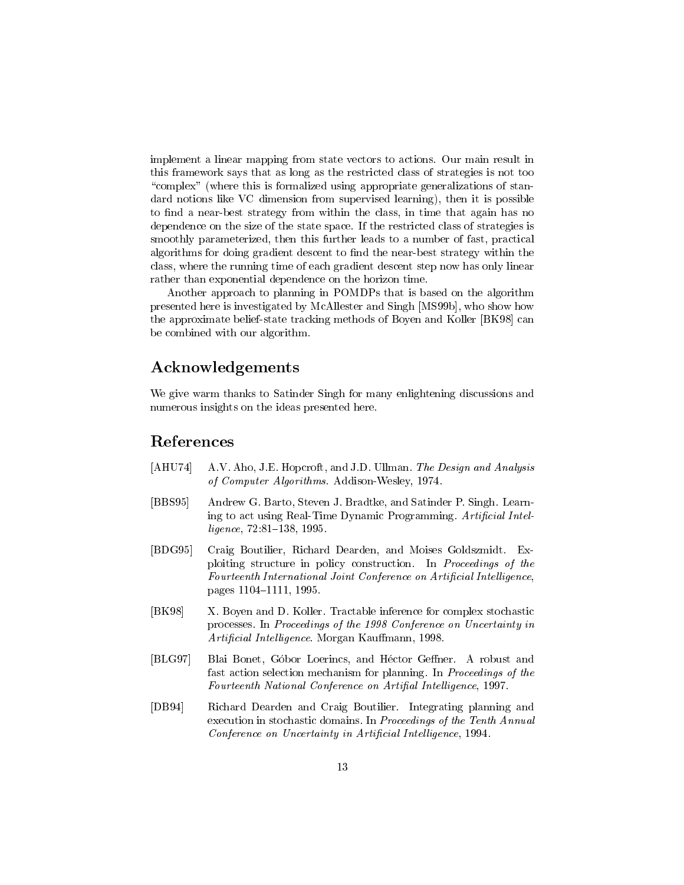implement a linear mapping from state vectors to actions. Our main result in this framework says that as long as the restricted class of strategies is not too "complex" (where this is formalized using appropriate generalizations of standard notions like VC dimension from supervised learning), then it is possible to find a near-best strategy from within the class, in time that again has no dependence on the size of the state space. If the restricted class of strategies is smoothly parameterized, then this further leads to a number of fast, practical algorithms for doing gradient descent to find the near-best strategy within the class, where the running time of each gradient descent step now has only linear rather than exponential dependence on the horizon time.

Another approach to planning in POMDPs that is based on the algorithm presented here is investigated by McAllester and Singh [MS99b], who show how the approximate belief-state tracking methods of Boyen and Koller [BK98] can be combined with our algorithm.

## Acknowledgements

We give warm thanks to Satinder Singh for many enlightening discussions and numerous insights on the ideas presented here.

### References

- [AHU74] A.V. Aho, J.E. Hopcroft, and J.D. Ullman. The Design and Analysis of Computer Algorithms. Addison-Wesley, 1974.
- [BBS95] Andrew G. Barto, Steven J. Bradtke, and Satinder P. Singh. Learning to act using Real-Time Dynamic Programming. Artificial Intel $ligence, 72:81–138, 1995.$
- [BDG95] Craig Boutilier, Richard Dearden, and Moises Goldszmidt. Exploiting structure in policy construction. In Proceedings of the Fourteenth International Joint Conference on Artificial Intelligence, pages 1104-1111, 1995.
- [BK98] X. Boyen and D. Koller. Tractable inference for complex stochastic processes. In Proceedings of the 1998 Conference on Uncertainty in Artificial Intelligence. Morgan Kauffmann, 1998.
- [BLG97] Blai Bonet, Góbor Loerincs, and Héctor Geffner. A robust and fast action selection mechanism for planning. In Proceedings of the Fourteenth National Conference on Artifial Intelligence, 1997.
- [DB94] Richard Dearden and Craig Boutilier. Integrating planning and execution in stochastic domains. In Proceedings of the Tenth Annual Conference on Uncertainty in Artificial Intelligence, 1994.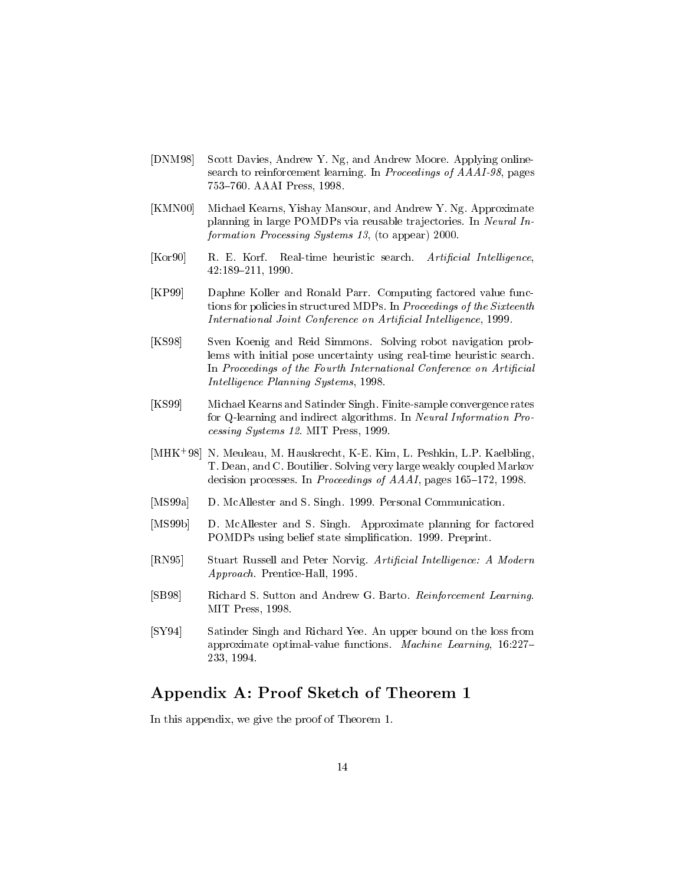- [DNM98] Scott Davies, Andrew Y. Ng, and Andrew Moore. Applying onlinesearch to reinforcement learning. In Proceedings of AAAI-98, pages 753-760. AAAI Press, 1998.
- [KMN00] Michael Kearns, Yishay Mansour, and Andrew Y. Ng. Approximate planning in large POMDPs via reusable trajectories. In Neural Information Processing Systems 13, (to appear) 2000.
- [Kor90] R. E. Korf. Real-time heuristic search. Artificial Intelligence, 42:189{211, 1990.
- [KP99] Daphne Koller and Ronald Parr. Computing factored value functions for policies in structured MDPs. In Proceedings of the Sixteenth International Joint Conference on Artificial Intelligence, 1999.
- [KS98] Sven Koenig and Reid Simmons. Solving robot navigation problems with initial pose uncertainty using real-time heuristic search. In Proceedings of the Fourth International Conference on Artificial Intelligence Planning Systems, 1998.
- [KS99] Michael Kearns and Satinder Singh. Finite-sample convergence rates for Q-learning and indirect algorithms. In Neural Information Processing Systems 12. MIT Press, 1999.
- [MHK+ 98] N. Meuleau, M. Hauskrecht, K-E. Kim, L. Peshkin, L.P. Kaelbling, T. Dean, and C. Boutilier. Solving very large weakly coupled Markov decision processes. In *Proceedings of AAAI*, pages  $165-172$ , 1998.
- [MS99a] D. McAllester and S. Singh. 1999. Personal Communication.
- [MS99b] D. McAllester and S. Singh. Approximate planning for factored POMDPs using belief state simplication. 1999. Preprint.
- [RN95] Stuart Russell and Peter Norvig. Artificial Intelligence: A Modern Approach. Prentice-Hall, 1995.
- [SB98] Richard S. Sutton and Andrew G. Barto. Reinforcement Learning. MIT Press, 1998.
- [SY94] Satinder Singh and Richard Yee. An upper bound on the loss from approximate optimal-value functions. Machine Learning, 16:227-233, 1994.

# Appendix A: Proof Sketch of Theorem 1

In this appendix, we give the proof of Theorem 1.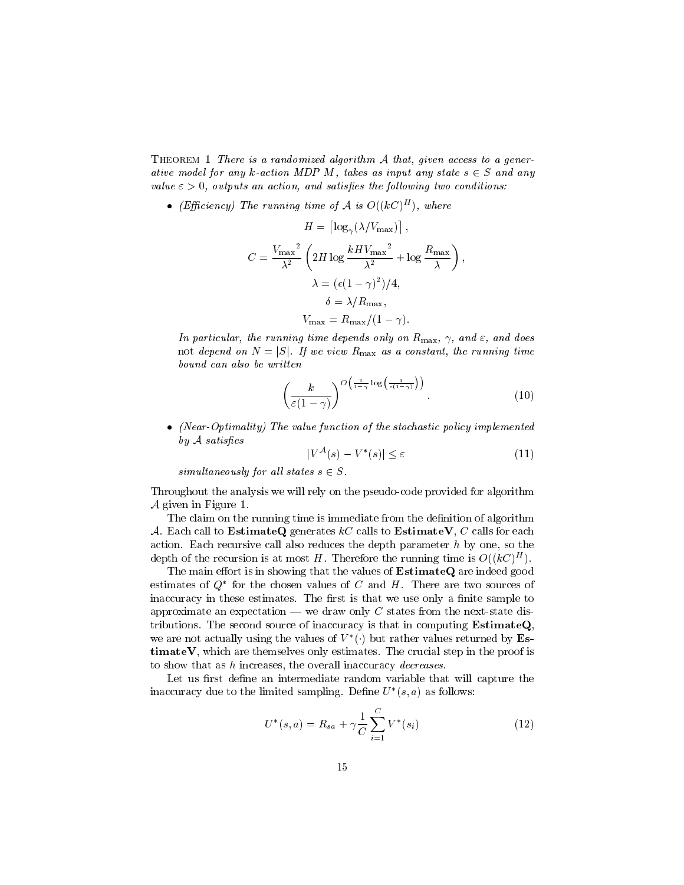THEOREM 1 There is a randomized algorithm  $A$  that, given access to a generative model for any k-action MDP M, takes as input any state  $s \in S$  and any value  $\varepsilon > 0$ , outputs an action, and satisfies the following two conditions:

• (Efficiency) The running time of A is  $O((\kappa C)^{-1})$ , where

$$
H = \left[ \log_{\gamma} (\lambda / V_{\text{max}}) \right],
$$
  
\n
$$
C = \frac{V_{\text{max}}^2}{\lambda^2} \left( 2H \log \frac{kHV_{\text{max}}^2}{\lambda^2} + \log \frac{R_{\text{max}}}{\lambda} \right),
$$
  
\n
$$
\lambda = (\epsilon (1 - \gamma)^2) / 4,
$$
  
\n
$$
\delta = \lambda / R_{\text{max}},
$$
  
\n
$$
V_{\text{max}} = R_{\text{max}} / (1 - \gamma).
$$

In particular, the running time depends only on  $R_{\text{max}}$ ,  $\gamma$ , and  $\varepsilon$ , and does not depend on N  $\sim$  1.111. If we view  $\sim$  1.111. If we view Rmax as a constant, the run number of  $\sim$ bound can also be written

$$
\left(\frac{k}{\varepsilon(1-\gamma)}\right)^{O\left(\frac{1}{1-\gamma}\log\left(\frac{1}{\varepsilon(1-\gamma)}\right)\right)}.\tag{10}
$$

• (Near-Optimality) The value function of the stochastic policy implemented  $by$   $A$  satisfies

$$
|V^{\mathcal{A}}(s) - V^*(s)| \le \varepsilon \tag{11}
$$

simultaneously for all states  $s \in S$ .

Throughout the analysis we will rely on the pseudo-code provided for algorithm <sup>A</sup> given in Figure 1.

The claim on the running time is immediate from the definition of algorithm A. Each call to EstimateQ generates  $kC$  calls to EstimateV, C calls for each action. Each recursive call also reduces the depth parameter  $h$  by one, so the depth of the recursion is at most  $H$ . Therefore the running time is  $O((\kappa \cup \top))$ .

The main effort is in showing that the values of  $EstimateQ$  are indeed good estimates of  $Q$  for the chosen values of  $C$  and  $H$ . There are two sources of inaccuracy in these estimates. The first is that we use only a finite sample to approximate an expectation — we draw only  $C$  states from the next-state distributions. The second source of inaccuracy is that in computing  $EstimateQ$ , we are not actually using the values of  $V$  ( ) but rather values returned by  $ES$  $timateV$ , which are themselves only estimates. The crucial step in the proof is to show that as h increases, the overall inaccuracy decreases.

Let us first define an intermediate random variable that will capture the inaccuracy due to the limited sampling. Define  $U^-(s, a)$  as follows:

$$
U^*(s, a) = R_{sa} + \gamma \frac{1}{C} \sum_{i=1}^{C} V^*(s_i)
$$
 (12)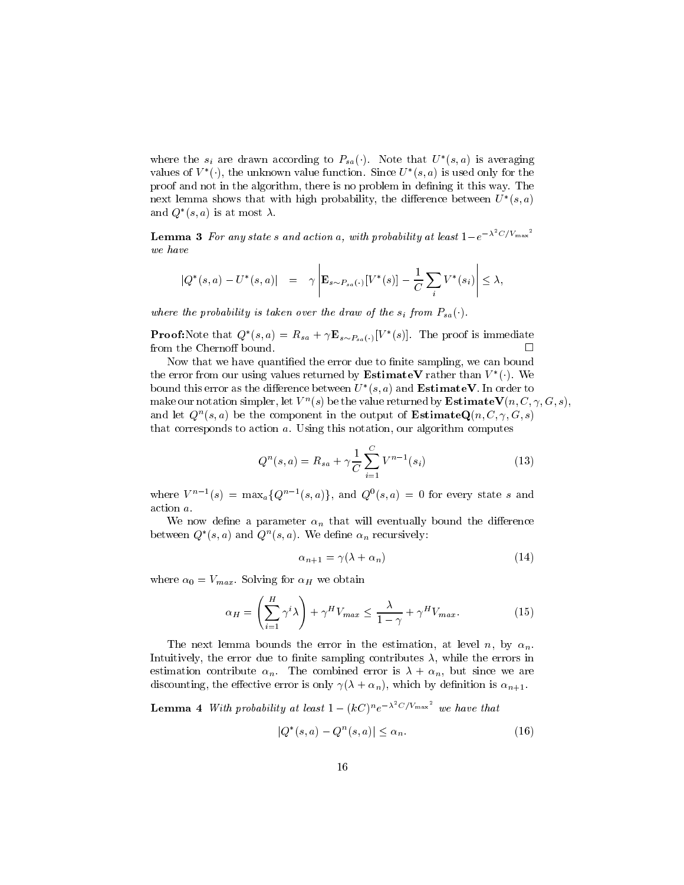where the  $s_i$  are drawn according to  $F_{sa}(\cdot)$ . Note that  $U^-(s, a)$  is averaging values of  $V$  ( ), the unknown value function. Since  $U$   $(S, a)$  is used only for the proof and not in the algorithm, there is no problem in defining it this way. The  $\max$  remma shows that with high probability, the difference between  $U^-(s,a)$ and  $Q$   $(s, a)$  is at most  $\lambda$ .

**Lemma 3** For any states and action a, with probability at least  $1-e^{-\lambda^2C/V_{\text{max}}}\$ we have

$$
|Q^*(s, a) - U^*(s, a)| = \gamma \left| \mathbf{E}_{s \sim P_{sa}(\cdot)}[V^*(s)] - \frac{1}{C} \sum_i V^*(s_i) \right| \le \lambda,
$$

where the probability is taken over the draw of the  $s_i$  from  $P_{sa}(\cdot)$ .

**Proof:**Note that  $Q_{\parallel}(s, a) = R_{sa} + \gamma \mathbf{E}_{s \sim P_{sa}(\cdot)}[V_{\parallel}(s)]$ . The proof is immediate from the Chernoff bound.  $\Box$ 

Now that we have quantified the error due to finite sampling, we can bound the error from our using values returned by **Estimate v** rather than  $V$  ( ). We bound this error as the difference between  $U^-(s,a)$  and  ${\bf E}$ stimate  ${\bf v}$  . In order to make our notation simpler, let  $V^*(s)$  be the value returned by **Estimate V** ( $n, \circ, \gamma, \sigma, s$ ), and let  $Q^+(s,a)$  be the component in the output of  ${\bf E}\, {\bf s}$  . Induces  $(n,\cup,\gamma,\cup,s)$ that corresponds to action a. Using this notation, our algorithm computes

$$
Q^{n}(s, a) = R_{sa} + \gamma \frac{1}{C} \sum_{i=1}^{C} V^{n-1}(s_i)
$$
 (13)

where  $V^{\prime\prime}$  =  $\max_{a} \{Q^{\prime\prime}$  =  $(s, a)\}$ , and  $Q^{\prime\prime}(s, a) = 0$  for every state s and action a.

We now define a parameter  $\alpha_n$  that will eventually bound the difference between  $Q_-(s, a)$  and  $Q^-(s, a)$ . We define  $\alpha_n$  recursively:

$$
\alpha_{n+1} = \gamma(\lambda + \alpha_n) \tag{14}
$$

where  $\alpha$  is variable  $\alpha$  is the solving for  $\alpha$  we obtain  $\alpha$ 

$$
\alpha_H = \left(\sum_{i=1}^H \gamma^i \lambda\right) + \gamma^H V_{max} \le \frac{\lambda}{1-\gamma} + \gamma^H V_{max}.
$$
 (15)

The next lemma bounds the error in the estimation, at level n, by  $\alpha_n$ . Intuitively, the error due to finite sampling contributes  $\lambda$ , while the errors in estimation contribute  $\alpha_n$ . The combined error is  $\lambda + \alpha_n$ , but since we are discounting, the effective error is only  $\gamma(\lambda + \alpha_n)$ , which by definition is  $\alpha_{n+1}$ .

**Lemma 4** With probability at least  $1 - (kC)^n e^{-\lambda^2 C/V_{\text{max}}}$  we have that

$$
|Q^*(s,a) - Q^n(s,a)| \le \alpha_n. \tag{16}
$$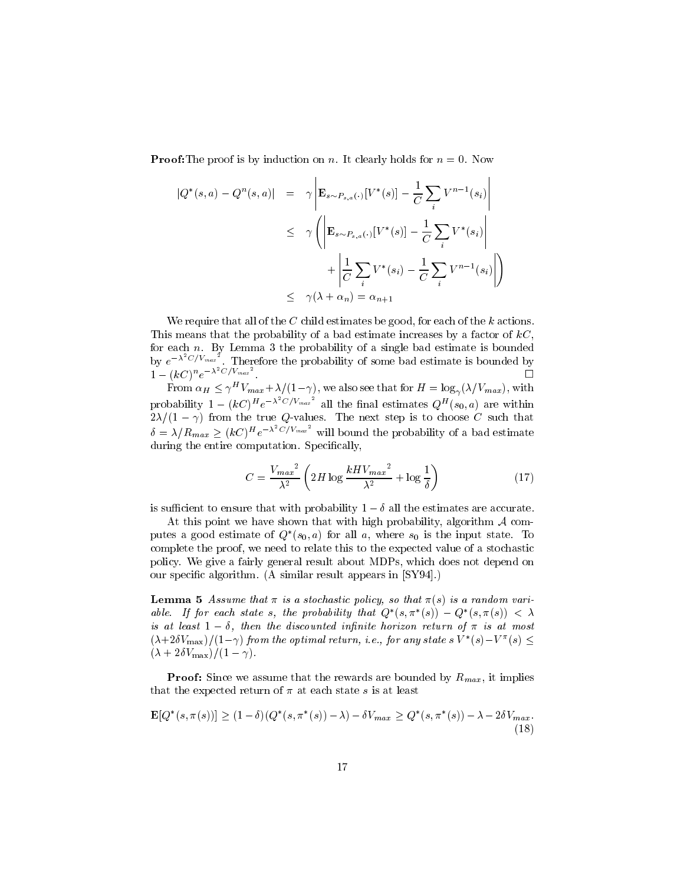**Proof:**The proof is by induction on n. It clearly holds for  $n = 0$ . Now

and the contract of the contract of the contract of the contract of the contract of the contract of the contract of the contract of the contract of the contract of the contract of the contract of the contract of the contra

and the contract of the contract of the contract of the contract of the contract of the contract of the contract of the contract of the contract of the contract of the contract of the contract of the contract of the contra

$$
|Q^*(s, a) - Q^n(s, a)| = \gamma \left| \mathbf{E}_{s \sim P_{s, a}(\cdot)}[V^*(s)] - \frac{1}{C} \sum_i V^{n-1}(s_i) \right|
$$
  

$$
\leq \gamma \left( \left| \mathbf{E}_{s \sim P_{s, a}(\cdot)}[V^*(s)] - \frac{1}{C} \sum_i V^*(s_i) \right| + \left| \frac{1}{C} \sum_i V^*(s_i) - \frac{1}{C} \sum_i V^{n-1}(s_i) \right| \right)
$$
  

$$
\leq \gamma(\lambda + \alpha_n) = \alpha_{n+1}
$$

We require that all of the C child estimates be good, for each of the k actions. This means that the probability of a bad estimate increases by a factor of  $kC$ , by  $e^{-\lambda^2 C/V_{max}^2}$ . Therefore the probability of some bad estimate is bounded by  $1 - (kC)^n e^{-\lambda^2 C/V_{max}}$ .

From  $\alpha_H \leq \gamma$   $v_{max} + \lambda/(1-\gamma)$ , we also see that for  $H = \log_{\gamma}(\lambda/v_{max})$ , with probability  $1 - (kC)^{H}e^{-\lambda^{2}C/V_{max}^{2}}$  all the final estimates  $Q^{H}(s_{0}, a)$  are within  $\mathcal{L}$  from the true  $\mathcal{L}$  from the true  $\mathcal{L}$  step is to choose  $\mathcal{L}$  step is to choose  $\mathcal{L}$  $\delta = \lambda/R_{max} > (kC)^{H}e^{-\lambda^{2}C/V_{max}}$  will bound the probability of a bad estimate during the entire computation. Specifically,

$$
C = \frac{V_{max}^2}{\lambda^2} \left( 2H \log \frac{kHV_{max}^2}{\lambda^2} + \log \frac{1}{\delta} \right)
$$
 (17)

is sufficient to ensure that with probability  $1 - \delta$  all the estimates are accurate.

At this point we have shown that with high probability, algorithm  $A$  computes a good estimate of  $Q_{-}(s_0, a)$  for all  $a$ , where  $s_0$  is the input state. To complete the proof, we need to relate this to the expected value of a stochastic policy. We give a fairly general result about MDPs, which does not depend on our specic algorithm. (A similar result appears in [SY94].)

**Lemma** 5 Assume that *a* is a stochastic policy, so that  $\pi(s)$  is a random variable. If for each state s, the probability that  $Q_-(s,\pi_-(s)) = Q_-(s,\pi(s)) \leq \Lambda$ is at least  $1 - \delta$ , then the discounted infinite horizon return of  $\pi$  is at most  $(\lambda + 20V_{\text{max}})/(1-\gamma)$  from the optimal return, i.e., for any states  $V_{\text{max}}(s) = V_{\text{max}}(s)$  $(\lambda + 2\delta V_{\text{max}})/(1 - \gamma).$ 

Proof: Since we assume that the rewards are bounded by Rmax , it implies that the expected return of  $\pi$  at each state s is at least

$$
\mathbf{E}[Q^*(s, \pi(s))] \ge (1 - \delta)(Q^*(s, \pi^*(s)) - \lambda) - \delta V_{max} \ge Q^*(s, \pi^*(s)) - \lambda - 2\delta V_{max}.
$$
\n(18)